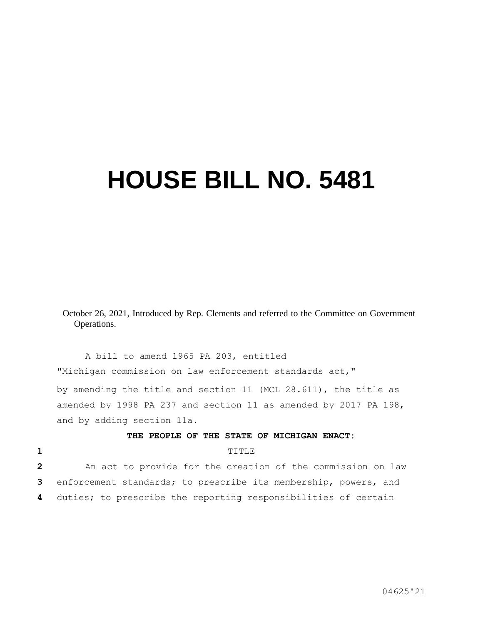## **HOUSE BILL NO. 5481**

October 26, 2021, Introduced by Rep. Clements and referred to the Committee on Government Operations.

A bill to amend 1965 PA 203, entitled "Michigan commission on law enforcement standards act," by amending the title and section 11 (MCL 28.611), the title as amended by 1998 PA 237 and section 11 as amended by 2017 PA 198, and by adding section 11a.

## **THE PEOPLE OF THE STATE OF MICHIGAN ENACT:**

## **1** TITLE

**2** An act to provide for the creation of the commission on law **3** enforcement standards; to prescribe its membership, powers, and **4** duties; to prescribe the reporting responsibilities of certain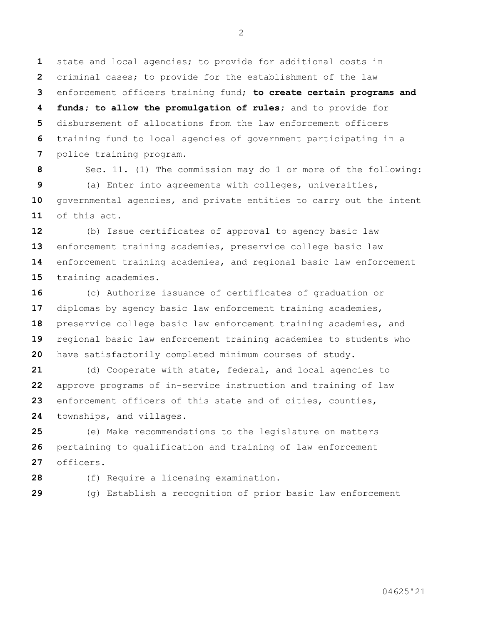state and local agencies; to provide for additional costs in criminal cases; to provide for the establishment of the law enforcement officers training fund; **to create certain programs and funds; to allow the promulgation of rules;** and to provide for disbursement of allocations from the law enforcement officers training fund to local agencies of government participating in a police training program.

 Sec. 11. (1) The commission may do 1 or more of the following: (a) Enter into agreements with colleges, universities, governmental agencies, and private entities to carry out the intent of this act.

 (b) Issue certificates of approval to agency basic law enforcement training academies, preservice college basic law enforcement training academies, and regional basic law enforcement training academies.

 (c) Authorize issuance of certificates of graduation or diplomas by agency basic law enforcement training academies, preservice college basic law enforcement training academies, and regional basic law enforcement training academies to students who have satisfactorily completed minimum courses of study.

 (d) Cooperate with state, federal, and local agencies to approve programs of in-service instruction and training of law enforcement officers of this state and of cities, counties, townships, and villages.

 (e) Make recommendations to the legislature on matters pertaining to qualification and training of law enforcement officers.

(f) Require a licensing examination.

(g) Establish a recognition of prior basic law enforcement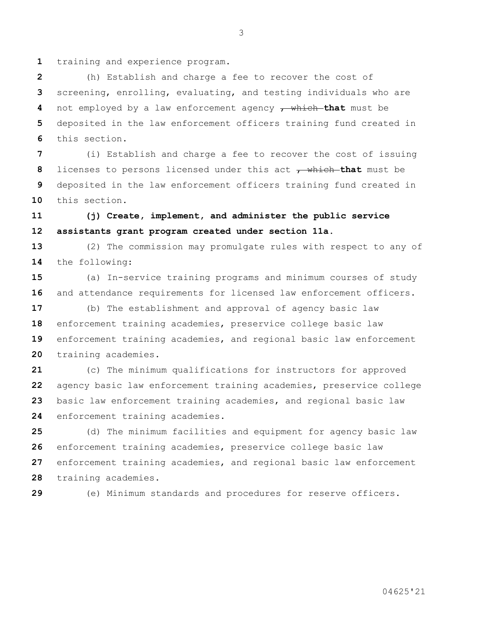1 training and experience program.

 (h) Establish and charge a fee to recover the cost of screening, enrolling, evaluating, and testing individuals who are not employed by a law enforcement agency , which **that** must be deposited in the law enforcement officers training fund created in this section.

 (i) Establish and charge a fee to recover the cost of issuing licenses to persons licensed under this act  $\tau$  which that must be deposited in the law enforcement officers training fund created in this section.

## **(j) Create, implement, and administer the public service assistants grant program created under section 11a.**

 (2) The commission may promulgate rules with respect to any of the following:

 (a) In-service training programs and minimum courses of study and attendance requirements for licensed law enforcement officers.

 (b) The establishment and approval of agency basic law enforcement training academies, preservice college basic law enforcement training academies, and regional basic law enforcement training academies.

 (c) The minimum qualifications for instructors for approved agency basic law enforcement training academies, preservice college basic law enforcement training academies, and regional basic law enforcement training academies.

 (d) The minimum facilities and equipment for agency basic law enforcement training academies, preservice college basic law enforcement training academies, and regional basic law enforcement training academies.

(e) Minimum standards and procedures for reserve officers.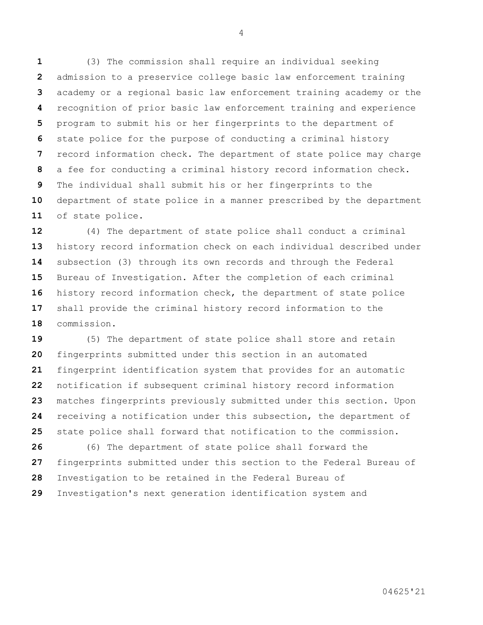(3) The commission shall require an individual seeking admission to a preservice college basic law enforcement training academy or a regional basic law enforcement training academy or the recognition of prior basic law enforcement training and experience program to submit his or her fingerprints to the department of state police for the purpose of conducting a criminal history record information check. The department of state police may charge a fee for conducting a criminal history record information check. The individual shall submit his or her fingerprints to the department of state police in a manner prescribed by the department of state police.

 (4) The department of state police shall conduct a criminal history record information check on each individual described under subsection (3) through its own records and through the Federal Bureau of Investigation. After the completion of each criminal history record information check, the department of state police shall provide the criminal history record information to the commission.

 (5) The department of state police shall store and retain fingerprints submitted under this section in an automated fingerprint identification system that provides for an automatic notification if subsequent criminal history record information matches fingerprints previously submitted under this section. Upon receiving a notification under this subsection, the department of state police shall forward that notification to the commission.

 (6) The department of state police shall forward the fingerprints submitted under this section to the Federal Bureau of Investigation to be retained in the Federal Bureau of Investigation's next generation identification system and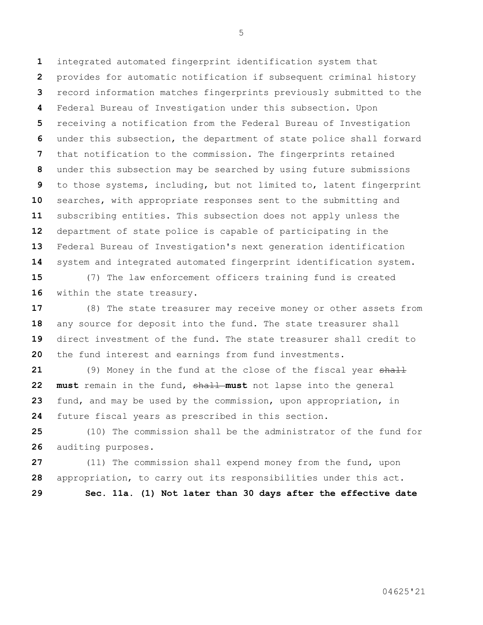integrated automated fingerprint identification system that provides for automatic notification if subsequent criminal history record information matches fingerprints previously submitted to the Federal Bureau of Investigation under this subsection. Upon receiving a notification from the Federal Bureau of Investigation under this subsection, the department of state police shall forward that notification to the commission. The fingerprints retained under this subsection may be searched by using future submissions to those systems, including, but not limited to, latent fingerprint searches, with appropriate responses sent to the submitting and subscribing entities. This subsection does not apply unless the department of state police is capable of participating in the Federal Bureau of Investigation's next generation identification system and integrated automated fingerprint identification system.

 (7) The law enforcement officers training fund is created 16 within the state treasury.

 (8) The state treasurer may receive money or other assets from any source for deposit into the fund. The state treasurer shall direct investment of the fund. The state treasurer shall credit to the fund interest and earnings from fund investments.

 (9) Money in the fund at the close of the fiscal year shall **must** remain in the fund, shall **must** not lapse into the general fund, and may be used by the commission, upon appropriation, in future fiscal years as prescribed in this section.

 (10) The commission shall be the administrator of the fund for auditing purposes.

 (11) The commission shall expend money from the fund, upon appropriation, to carry out its responsibilities under this act.

**Sec. 11a. (1) Not later than 30 days after the effective date**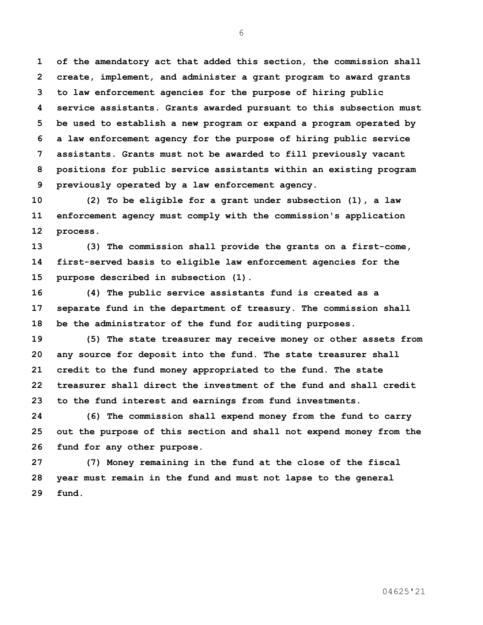**of the amendatory act that added this section, the commission shall create, implement, and administer a grant program to award grants to law enforcement agencies for the purpose of hiring public service assistants. Grants awarded pursuant to this subsection must be used to establish a new program or expand a program operated by a law enforcement agency for the purpose of hiring public service assistants. Grants must not be awarded to fill previously vacant positions for public service assistants within an existing program previously operated by a law enforcement agency.**

 **(2) To be eligible for a grant under subsection (1), a law enforcement agency must comply with the commission's application process.**

 **(3) The commission shall provide the grants on a first-come, first-served basis to eligible law enforcement agencies for the purpose described in subsection (1).**

 **(4) The public service assistants fund is created as a separate fund in the department of treasury. The commission shall be the administrator of the fund for auditing purposes.**

 **(5) The state treasurer may receive money or other assets from any source for deposit into the fund. The state treasurer shall credit to the fund money appropriated to the fund. The state treasurer shall direct the investment of the fund and shall credit to the fund interest and earnings from fund investments.**

 **(6) The commission shall expend money from the fund to carry out the purpose of this section and shall not expend money from the fund for any other purpose.**

 **(7) Money remaining in the fund at the close of the fiscal year must remain in the fund and must not lapse to the general fund.**